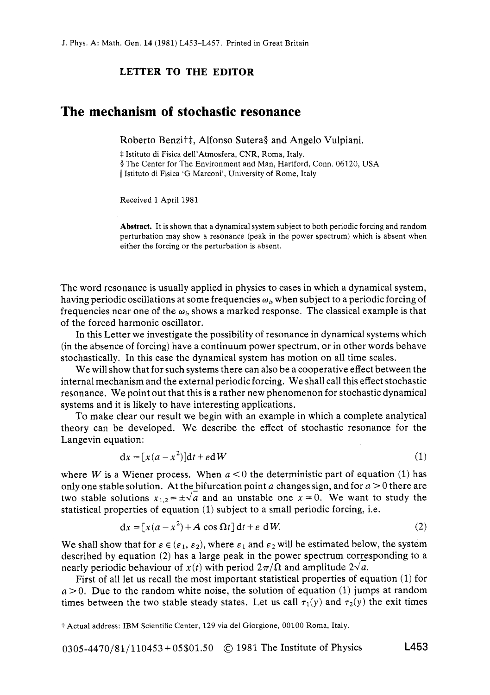## **LETTER TO THE EDITOR**

## **The mechanism of stochastic resonance**

Roberto Benzi†‡, Alfonso Sutera§ and Angelo Vulpiani.

*i* Istituto di Fisica dell'Atmosfera, CNR, Roma, Italy. § The Center for The Environment and Man, Hartford, Conn. 06120, USA <sup>11</sup>Istituto di Fisica 'G Marconi', University of Rome, Italy

Received **1** April 1981

**Abstract.** It **is** shown that a dynamical system subject to both periodic forcing and random perturbation may show a resonance (peak in the power spectrum) which is absent when either the forcing or the perturbation is absent.

The word resonance is usually applied in physics to cases in which a dynamical system, having periodic oscillations at some frequencies *wi,* when subject to a periodic forcing of frequencies near one of the  $\omega_i$ , shows a marked response. The classical example is that of the forced harmonic oscillator.

In this Letter we investigate the possibility of resonance in dynamical systems which (in the absence of forcing) nave a continuum power spectrum, or in other words behave stochastically. In this case the dynamical system has motion on all time scales.

We will show that for such systems there can also be a cooperative effect between the internal mechanism and the external periodic forcing. We shall call this effect stochastic resonance. We point out that this is a rather new phenomenon for stochastic dynamical systems and it **is** likely to have interesting applications.

To make clear our result we begin with an example in which a complete analytical theory can be developed. We describe the effect of stochastic resonance for the Langevin equation:

$$
dx = [x(a - x2)]dt + \varepsilon dW
$$
 (1)

where *W* is a Wiener process. When  $a < 0$  the deterministic part of equation (1) has only one stable solution. At the bifurcation point a changes sign, and for  $a > 0$  there are two stable solutions  $x_{1,2} = \pm \sqrt{a}$  and an unstable one  $x = 0$ . We want to study the statistical properties of equation (1) subject to a small periodic forcing, i.e.

$$
dx = [x(a - x2) + A \cos \Omega t] dt + \varepsilon dW.
$$
 (2)

We shall show that for  $\varepsilon \in (\varepsilon_1, \varepsilon_2)$ , where  $\varepsilon_1$  and  $\varepsilon_2$  will be estimated below, the system described by equation  $(2)$  has a large peak in the power spectrum corresponding to a nearly periodic behaviour of  $x(t)$  with period  $2\pi/\Omega$  and amplitude  $2\sqrt{a}$ .

First of all let us recall the most important statistical properties of equation (1) for  $a > 0$ . Due to the random white noise, the solution of equation (1) jumps at random times between the two stable steady states. Let us call  $\tau_1(y)$  and  $\tau_2(y)$  the exit times

*t* Actual address: IBM Scientific Center, 129 via del Giorgione, 00100 Roma, Italy.

0305-4470/81/110453+05\$01.50 @ 1981 The Institute of Physics **L453**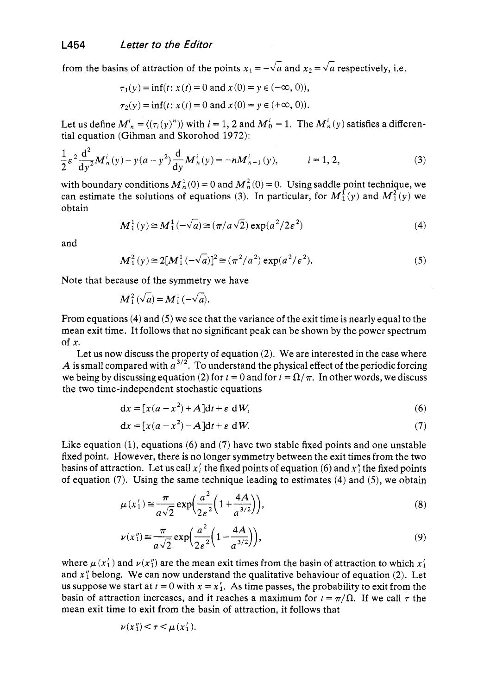from the basins of attraction of the points  $x_1 = -\sqrt{a}$  and  $x_2 = \sqrt{a}$  respectively, i.e.

$$
\tau_1(y) = \inf(t; x(t) = 0 \text{ and } x(0) = y \in (-\infty, 0)),
$$
  
\n
$$
\tau_2(y) = \inf(t; x(t) = 0 \text{ and } x(0) = y \in (+\infty, 0)).
$$

Let us define  $M_n^i = \langle (\tau_i(y))^n \rangle$  with  $i = 1, 2$  and  $M_0^i = 1$ . The  $M_n^i(y)$  satisfies a differential equation (Gihman and Skorohod 1972):

$$
\frac{1}{2}\varepsilon^{2}\frac{d^{2}}{dy^{2}}M_{n}^{i}(y)-y(a-y^{2})\frac{d}{dy}M_{n}^{i}(y)=-nM_{n-1}^{i}(y), \qquad i=1, 2,
$$
\n(3)

with boundary conditions  $M_n^1(0) = 0$  and  $M_n^2(0) = 0$ . Using saddle point technique, we can estimate the solutions of equations (3). In particular, for  $M_1^1(y)$  and  $M_1^2(y)$  we obtain

$$
M_1^1(y) \cong M_1^1(-\sqrt{a}) \cong (\pi/a\sqrt{2}) \exp(a^2/2\varepsilon^2)
$$
 (4)

and

$$
M_1^2(y) \cong 2[M_1^1(-\sqrt{a})]^2 \cong (\pi^2/a^2) \exp(a^2/\varepsilon^2).
$$
 (5)

Note that because of the symmetry we have<br>  $M_1^2(\sqrt{a}) = M_1^1(-\sqrt{a}).$ 

$$
\mathcal{M}_1^2(\sqrt{a}) = \mathcal{M}_1^1(-\sqrt{a}).
$$

From equations **(4)** and *(5)* we see that the variance of the exit time is nearly equal to the mean exit time. It follows that no significant peak can be shown by the power spectrum of *x.* 

Let us now discuss the property of equation  $(2)$ . We are interested in the case where A is small compared with  $a^{3/2}$ . To understand the physical effect of the periodic forcing we being by discussing equation (2) for  $t = 0$  and for  $t = \Omega/\pi$ . In other words, we discuss the two time-independent stochastic equations

$$
dx = [x(a - x2) + A]dt + \varepsilon dW,
$$
\n(6)

$$
dx = [x(a - x2) - A]dt + \varepsilon dW.
$$
 (7)

Like equation (1), equations (6) and (7) have two stable fixed points and one unstable fixed point. However, there is no longer symmetry between the exit times from the two basins of attraction. Let us call  $x_i$  the fixed points of equation (6) and  $x_i$  the fixed points of equation (7). Using the same technique leading to estimates **(4)** and *(5),* we obtain

$$
\mu(x_1') \approx \frac{\pi}{a\sqrt{2}} \exp\left(\frac{a^2}{2\varepsilon^2} \left(1 + \frac{4A}{a^{3/2}}\right)\right),\tag{8}
$$

$$
\nu(x_1'') \approx \frac{\pi}{a\sqrt{2}} \exp\left(\frac{a^2}{2\varepsilon^2} \left(1 - \frac{4A}{a^{3/2}}\right)\right),\tag{9}
$$

where  $\mu(x_1)$  and  $\nu(x_1^r)$  are the mean exit times from the basin of attraction to which  $x_1^r$ and  $x_1''$  belong. We can now understand the qualitative behaviour of equation (2). Let us suppose we start at  $t = 0$  with  $x = x'_1$ . As time passes, the probability to exit from the basin of attraction increases, and it reaches a maximum for  $t = \pi/\Omega$ . If we call  $\tau$  the mean exit time to exit from the basin of attraction, it follows that

$$
\nu(x_1'') < \tau < \mu(x_1').
$$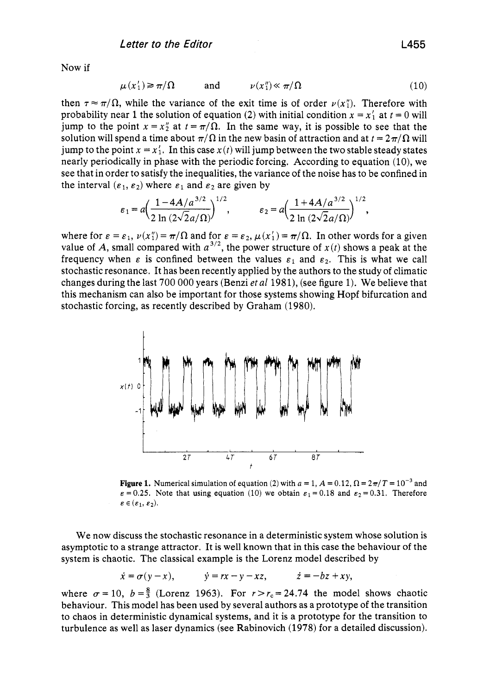Now if

$$
\mu(x'_1) \ge \pi/\Omega \qquad \text{and} \qquad \nu(x''_1) \ll \pi/\Omega \tag{10}
$$

then  $\tau \approx \pi/\Omega$ , while the variance of the exit time is of order  $\nu(x_1^n)$ . Therefore with probability near 1 the solution of equation (2) with initial condition  $x = x'_1$  at  $t = 0$  will jump to the point  $x = x_2^n$  at  $t = \pi/\Omega$ . In the same way, it is possible to see that the solution will spend a time about  $\pi/\Omega$  in the new basin of attraction and at  $t = 2\pi/\Omega$  will jump to the point  $x = x'_1$ . In this case  $x(t)$  will jump between the two stable steady states nearly periodically in phase with the periodic forcing. According to equation (10), we see that in order to satisfy the inequalities, the variance of the noise has to be confined in the interval  $(\epsilon_1, \epsilon_2)$  where  $\epsilon_1$  and  $\epsilon_2$  are given by

$$
\varepsilon_1 = a \left( \frac{1 - 4A/a^{3/2}}{2 \ln (2\sqrt{2}a/\Omega)} \right)^{1/2}, \qquad \varepsilon_2 = a \left( \frac{1 + 4A/a^{3/2}}{2 \ln (2\sqrt{2}a/\Omega)} \right)^{1/2},
$$

where for  $\varepsilon = \varepsilon_1$ ,  $\nu(x_1^n) = \pi/\Omega$  and for  $\varepsilon = \varepsilon_2$ ,  $\mu(x_1) = \pi/\Omega$ . In other words for a given value of A, small compared with  $a^{3/2}$ , the power structure of  $x(t)$  shows a peak at the frequency when  $\varepsilon$  is confined between the values  $\varepsilon_1$  and  $\varepsilon_2$ . This is what we call stochastic resonance. It has been recently applied by the authors to the study of climatic changes during the last 700 000 years (Benzi *eta1* 1981), (see figure 1). We believe that this mechanism can also be important for those systems showing Hopf bifurcation and stochastic forcing, as recently described by Graham (1980).



**Figure 1.** Numerical simulation of equation (2) with  $a = 1$ ,  $A = 0.12$ ,  $\Omega = 2\pi/T = 10^{-3}$  and  $\epsilon = 0.25$ . Note that using equation (10) we obtain  $\epsilon_1 = 0.18$  and  $\epsilon_2 = 0.31$ . Therefore  $\varepsilon \in (\varepsilon_1, \varepsilon_2).$ 

We now discuss the stochastic resonance in a deterministic system whose solution is asymptotic to a strange attractor. It is well known that in this case the behaviour of the system is chaotic. The classical example is the Lorenz model described by

$$
\dot{x} = \sigma(y - x), \qquad \dot{y} = rx - y - xz, \qquad \dot{z} = -bz + xy,
$$

where  $\sigma = 10$ ,  $b = \frac{8}{3}$  (Lorenz 1963). For  $r > r_c = 24.74$  the model shows chaotic behaviour. This model has been used by several authors as a prototype of the transition to chaos in deterministic dynamical systems, and it is a prototype for the transition to turbulence as well as laser dynamics (see Rabinovich (1978) for a detailed discussion).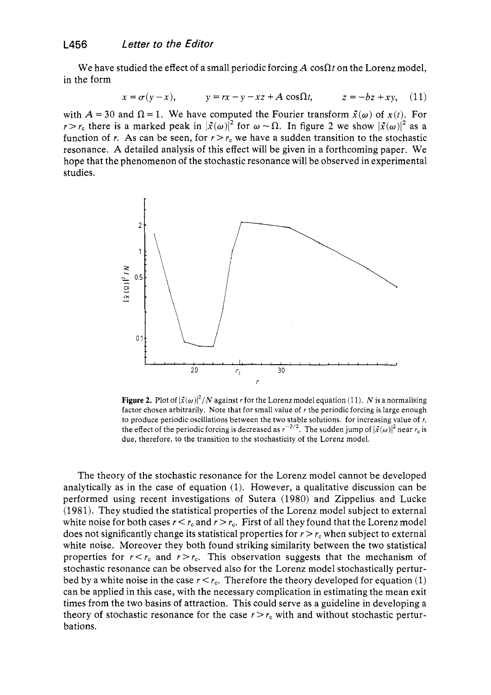We have studied the effect of a small periodic forcing  $A \cos\Omega t$  on the Lorenz model, in the form

$$
x = \sigma(y - x), \qquad y = rx - y - xz + A\cos\Omega t, \qquad z = -bz + xy, \quad (11)
$$

with  $A = 30$  and  $\Omega = 1$ . We have computed the Fourier transform  $\tilde{x}(\omega)$  of  $x(t)$ . For  $r > r_c$  there is a marked peak in  $|\tilde{x}(\omega)|^2$  for  $\omega \sim \Omega$ . In figure 2 we show  $|\tilde{x}(\omega)|^2$  as a function of r. As can be seen, for  $r > r_c$  we have a sudden transition to the stochastic resonance. **A** detailed analysis of this effect will be given in a forthcoming paper. We hope that the phenomenon of the stochastic resonance will be observed in experimental studies.



**Figure 2.** Plot of  $|\tilde{x}(\omega)|^2/N$  against *r* for the Lorenz model equation (11). *N* is a normalising factor chosen arbitrarily. Note that for small value of *r* the periodic forcing is large enough to produce periodic oscillations between the two stable solutions. for increasing value of *I,*  the effect of the periodic forcing is decreased as  $r^{-3/2}$ . The sudden jump of  $|\tilde{x}(\omega)|^2$  near  $r_c$  is due, therefore, to the transition to the stochasticity of the Lorenz model.

The theory of the stochastic resonance for the Lorenz model cannot be developed analytically as in the case of equation (1). However, a qualitative discussion can be performed using recent investigations of Sutera (1980) and Zippelius and Lucke (1981). They studied the statistical properties of the Lorenz model subject to external white noise for both cases  $r < r_c$  and  $r > r_c$ . First of all they found that the Lorenz model does not significantly change its statistical properties for  $r > r_c$  when subject to external white noise. Moreover they both found striking similarity between the two statistical properties for  $r < r_c$  and  $r > r_c$ . This observation suggests that the mechanism of stochastic resonance can be observed also for the Lorenz model stochastically perturbed by a white noise in the case  $r < r<sub>c</sub>$ . Therefore the theory developed for equation (1) can be applied in this case, with the necessary complication in estimating the mean exit times from the two basins of attraction. This could serve as a guideline in developing a theory of stochastic resonance for the case  $r > r<sub>c</sub>$  with and without stochastic perturbations.